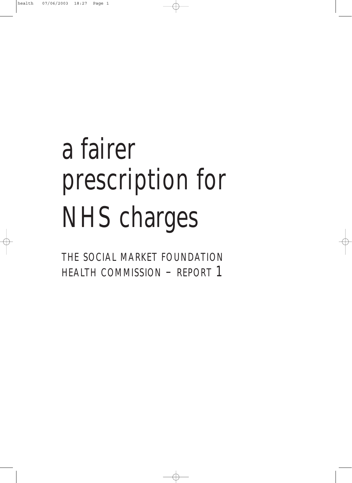# a fairer prescription for NHS charges

THE SOCIAL MARKET FOUNDATION HEALTH COMMISSION - REPORT 1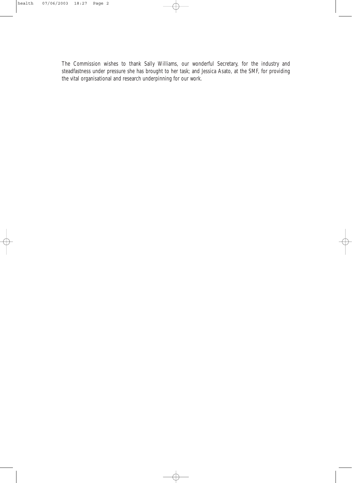The Commission wishes to thank Sally Williams, our wonderful Secretary, for the industry and steadfastness under pressure she has brought to her task; and Jessica Asato, at the SMF, for providing the vital organisational and research underpinning for our work.

 $\color{red} \bigoplus$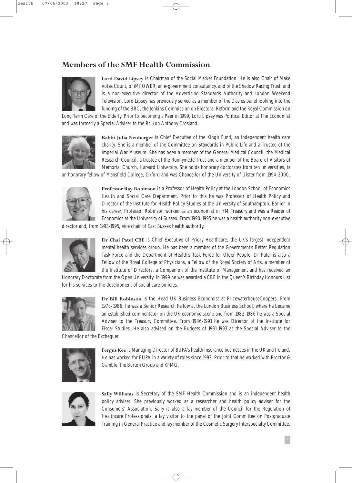## **Members of the SMF Health Commission**



**Lord David Lipsey** is Chairman of the Social Market Foundation. He is also Chair of Make Votes Count, of iMPOWER, an e-government consultancy, and of the Shadow Racing Trust; and is a non-executive director of the Advertising Standards Authority and London Weekend Television. Lord Lipsey has previously served as a member of the Davies panel looking into the funding of the BBC, the Jenkins Commission on Electoral Reform and the Royal Commission on

Long Term Care of the Elderly. Prior to becoming a Peer in 1999, Lord Lipsey was Political Editor at The Economist and was formerly a Special Adviser to the Rt Hon Anthony Crosland.



**Rabbi Julia Neuberger** is Chief Executive of the King's Fund, an independent health care charity. She is a member of the Committee on Standards in Public Life and a Trustee of the Imperial War Museum. She has been a member of the General Medical Council, the Medical Research Council, a trustee of the Runnymede Trust and a member of the Board of Visitors of Memorial Church, Harvard University. She holds honorary doctorates from ten universities, is

an honorary fellow of Mansfield College, Oxford and was Chancellor of the University of Ulster from 1994-2000.



**Professor Ray Robinson** is a Professor of Health Policy at the London School of Economics Health and Social Care Department. Prior to this he was Professor of Health Policy and Director of the Institute for Health Policy Studies at the University of Southampton. Earlier in his career, Professor Robinson worked as an economist in HM Treasury and was a Reader of Economics at the University of Sussex. From 1990-1995 he was a health authority non-executive

director and, from 1993-1995, vice chair of East Sussex health authority.



**Dr Chai Patel CBE** is Chief Executive of Priory Healthcare, the UK's largest independent mental health services group. He has been a member of the Government's Better Regulation Task Force and the Department of Health's Task Force for Older People. Dr Patel is also a Fellow of the Royal College of Physicians, a Fellow of the Royal Society of Arts, a member of the Institute of Directors, a Companion of the Institute of Management and has received an

Honorary Doctorate from the Open University. In 1999 he was awarded a CBE in the Queen's Birthday Honours List for his services to the development of social care policies.



**Dr Bill Robinson** is the Head UK Business Economist at PricewaterhouseCoopers. From 1978-1986, he was a Senior Research Fellow at the London Business School, where he became an established commentator on the UK economic scene and from 1982-1986 he was a Special Adviser to the Treasury Committee. From 1986-1991 he was Director of the Institute for Fiscal Studies. He also advised on the Budgets of 1991-1993 as the Special Adviser to the

Chancellor of the Exchequer.



**Fergus Kee** is Managing Director of BUPA's health insurance businesses in the UK and Ireland. He has worked for BUPA in a variety of roles since 1992. Prior to that he worked with Proctor & Gamble, the Burton Group and KPMG.



**Sally Williams** is Secretary of the SMF Health Commission and is an independent health policy adviser. She previously worked as a researcher and health policy adviser for the Consumers' Association. Sally is also a lay member of the Council for the Regulation of Healthcare Professionals, a lay visitor to the panel of the Joint Committee on Postgraduate Training in General Practice and lay member of the Cosmetic Surgery Interspecialty Committee.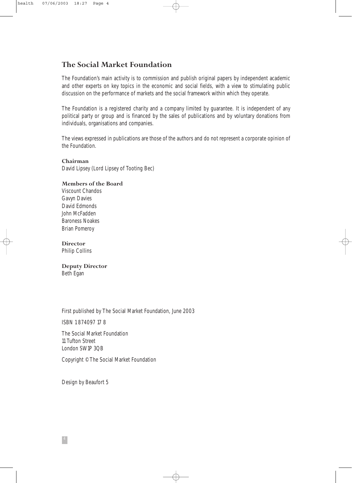# **The Social Market Foundation**

The Foundation's main activity is to commission and publish original papers by independent academic and other experts on key topics in the economic and social fields, with a view to stimulating public discussion on the performance of markets and the social framework within which they operate.

The Foundation is a registered charity and a company limited by guarantee. It is independent of any political party or group and is financed by the sales of publications and by voluntary donations from individuals, organisations and companies.

The views expressed in publications are those of the authors and do not represent a corporate opinion of the Foundation.

 $\oplus$ 

**Chairman** David Lipsey (Lord Lipsey of Tooting Bec)

**Members of the Board** Viscount Chandos Gavyn Davies David Edmonds John McFadden Baroness Noakes Brian Pomeroy

**Director** Philip Collins

**Deputy Director** Beth Egan

First published by The Social Market Foundation, June 2003

ISBN 1 874097 17 8

The Social Market Foundation 11 Tufton Street London SW1P 3QB

Copyright ©The Social Market Foundation

Design by Beaufort 5

4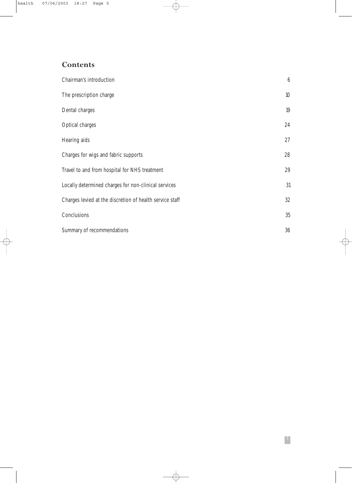# **Contents**

| Chairman's introduction                                  | $\boldsymbol{6}$ |
|----------------------------------------------------------|------------------|
| The prescription charge                                  | 10               |
| Dental charges                                           | 19               |
| <b>Optical charges</b>                                   | $24\,$           |
| <b>Hearing aids</b>                                      | 27               |
| Charges for wigs and fabric supports                     | 28               |
| Travel to and from hospital for NHS treatment            | 29               |
| Locally determined charges for non-clinical services     | 31               |
| Charges levied at the discretion of health service staff | 32               |
| Conclusions                                              | 35               |
| <b>Summary of recommendations</b>                        | 36               |

 $\bigoplus$ 

5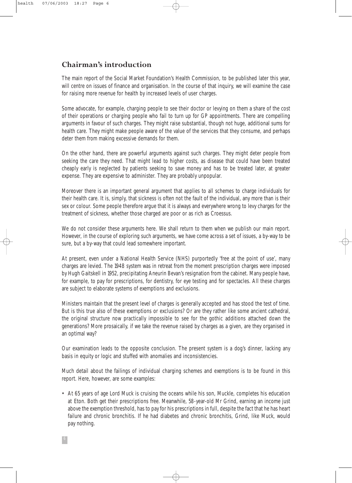## **Chairman's introduction**

The main report of the Social Market Foundation's Health Commission, to be published later this year, will centre on issues of finance and organisation. In the course of that inquiry, we will examine the case for raising more revenue for health by increased levels of user charges.

Some advocate, for example, charging people to see their doctor or levying on them a share of the cost of their operations or charging people who fail to turn up for GP appointments. There are compelling arguments in favour of such charges. They might raise substantial, though not huge, additional sums for health care. They might make people aware of the value of the services that they consume, and perhaps deter them from making excessive demands for them.

On the other hand, there are powerful arguments against such charges. They might deter people from seeking the care they need. That might lead to higher costs, as disease that could have been treated cheaply early is neglected by patients seeking to save money and has to be treated later, at greater expense. They are expensive to administer. They are probably unpopular.

Moreover there is an important general argument that applies to all schemes to charge individuals for their health care. It is, simply, that sickness is often not the fault of the individual, any more than is their sex or colour. Some people therefore argue that it is always and everywhere wrong to levy charges for the treatment of sickness, whether those charged are poor or as rich as Croessus.

We do not consider these arguments here. We shall return to them when we publish our main report. However, in the course of exploring such arguments, we have come across a set of issues, a by-way to be sure, but a by-way that could lead somewhere important.

At present, even under a National Health Service (NHS) purportedly 'free at the point of use', many charges are levied. The 1948 system was in retreat from the moment prescription charges were imposed by Hugh Gaitskell in 1952, precipitating Aneurin Bevan's resignation from the cabinet. Many people have, for example, to pay for prescriptions, for dentistry, for eye testing and for spectacles. All these charges are subject to elaborate systems of exemptions and exclusions.

Ministers maintain that the present level of charges is generally accepted and has stood the test of time. But is this true also of these exemptions or exclusions? Or are they rather like some ancient cathedral, the original structure now practically impossible to see for the gothic additions attached down the generations? More prosaically, if we take the revenue raised by charges as a given, are they organised in an optimal way?

Our examination leads to the opposite conclusion. The present system is a dog's dinner, lacking any basis in equity or logic and stuffed with anomalies and inconsistencies.

Much detail about the failings of individual charging schemes and exemptions is to be found in this report. Here, however, are some examples:

• At 65 years of age Lord Muck is cruising the oceans while his son, Muckle, completes his education at Eton. Both get their prescriptions free. Meanwhile, 58-year-old Mr Grind, earning an income just above the exemption threshold, has to pay for his prescriptions in full, despite the fact that he has heart failure and chronic bronchitis. If he had diabetes and chronic bronchitis, Grind, like Muck, would pay nothing.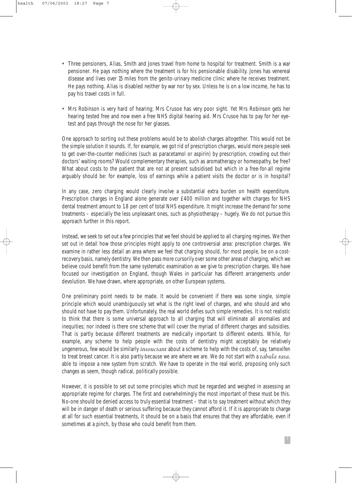- Three pensioners, Alias, Smith and Jones travel from home to hospital for treatment. Smith is a war pensioner. He pays nothing where the treatment is for his pensionable disability. Jones has venereal disease and lives over 15 miles from the genito-urinary medicine clinic where he receives treatment. He pays nothing. Alias is disabled neither by war nor by sex. Unless he is on a low income, he has to pay his travel costs in full.
- Mrs Robinson is very hard of hearing; Mrs Crusoe has very poor sight. Yet Mrs Robinson gets her hearing tested free and now even a free NHS digital hearing aid. Mrs Crusoe has to pay for her eyetest and pays through the nose for her glasses.

One approach to sorting out these problems would be to abolish charges altogether. This would not be the simple solution it sounds. If, for example, we got rid of prescription charges, would more people seek to get over-the-counter medicines (such as paracetamol or aspirin) by prescription, crowding out their doctors' waiting rooms? Would complementary therapies, such as aromatherapy or homeopathy, be free? What about costs to the patient that are not at present subsidised but which in a free-for-all regime arguably should be: for example, loss of earnings while a patient visits the doctor or is in hospital?

In any case, zero charging would clearly involve a substantial extra burden on health expenditure. Prescription charges in England alone generate over £400 million and together with charges for NHS dental treatment amount to 1.8 per cent of total NHS expenditure. It might increase the demand for some treatments – especially the less unpleasant ones, such as physiotherapy – hugely. We do not pursue this approach further in this report.

Instead, we seek to set out a few principles that we feel should be applied to all charging regimes. We then set out in detail how those principles might apply to one controversial area: prescription charges. We examine in rather less detail an area where we feel that charging should, for most people, be on a costrecovery basis, namely dentistry. We then pass more cursorily over some other areas of charging, which we believe could benefit from the same systematic examination as we give to prescription charges. We have focused our investigation on England, though Wales in particular has different arrangements under devolution. We have drawn, where appropriate, on other European systems.

One preliminary point needs to be made. It would be convenient if there was some single, simple principle which would unambiguously set what is the right level of charges, and who should and who should not have to pay them. Unfortunately, the real world defies such simple remedies. It is not realistic to think that there is some universal approach to all charging that will eliminate all anomalies and inequities; nor indeed is there one scheme that will cover the myriad of different charges and subsidies. That is partly because different treatments are medically important to different extents. While, for example, any scheme to help people with the costs of dentistry might acceptably be relatively ungenerous, few would be similarly *insouciant* about a scheme to help with the costs of, say, tamoxifen to treat breast cancer. It is also partly because we are where we are. We do not start with a *tabula rasa*, able to impose a new system from scratch. We have to operate in the real world, proposing only such changes as seem, though radical, politically possible.

However, it is possible to set out some principles which must be regarded and weighed in assessing an appropriate regime for charges. The first and overwhelmingly the most important of these must be this. No-one should be denied access to truly essential treatment – that is to say treatment without which they will be in danger of death or serious suffering because they cannot afford it. If it is appropriate to charge at all for such essential treatments, it should be on a basis that ensures that they are affordable, even if sometimes at a pinch, by those who could benefit from them.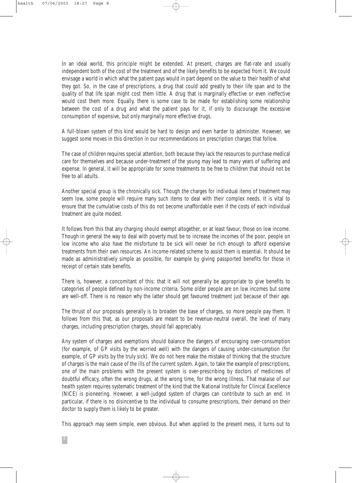8

In an ideal world, this principle might be extended. At present, charges are flat-rate and usually independent both of the cost of the treatment and of the likely benefits to be expected from it. We could envisage a world in which what the patient pays would in part depend on the value to their health of what they got. So, in the case of prescriptions, a drug that could add greatly to their life span and to the quality of that life span might cost them little. A drug that is marginally effective or even ineffective would cost them more. Equally, there is some case to be made for establishing some relationship between the cost of a drug and what the patient pays for it, if only to discourage the excessive consumption of expensive, but only marginally more effective drugs.

A full-blown system of this kind would be hard to design and even harder to administer. However, we suggest some moves in this direction in our recommendations on prescription charges that follow.

The case of children requires special attention, both because they lack the resources to purchase medical care for themselves and because under-treatment of the young may lead to many years of suffering and expense. In general, it will be appropriate for some treatments to be free to children that should not be free to all adults.

Another special group is the chronically sick. Though the charges for individual items of treatment may seem low, some people will require many such items to deal with their complex needs. It is vital to ensure that the cumulative costs of this do not become unaffordable even if the costs of each individual treatment are quite modest.

It follows from this that any charging should exempt altogether, or at least favour, those on low income. Though in general the way to deal with poverty must be to increase the incomes of the poor, people on low income who also have the misfortune to be sick will never be rich enough to afford expensive treatments from their own resources. An income-related scheme to assist them is essential. It should be made as administratively simple as possible, for example by giving passported benefits for those in receipt of certain state benefits.

There is, however, a concomitant of this: that it will not generally be appropriate to give benefits to categories of people defined by non-income criteria. Some older people are on low incomes but some are well-off. There is no reason why the latter should get favoured treatment just because of their age.

The thrust of our proposals generally is to broaden the base of charges, so more people pay them. It follows from this that, as our proposals are meant to be revenue-neutral overall, the level of many charges, including prescription charges, should fall appreciably.

Any system of charges and exemptions should balance the dangers of encouraging over-consumption (for example, of GP visits by the worried well) with the dangers of causing under-consumption (for example, of GP visits by the truly sick). We do not here make the mistake of thinking that the structure of charges is the main cause of the ills of the current system. Again, to take the example of prescriptions, one of the main problems with the present system is over-prescribing by doctors of medicines of doubtful efficacy, often the wrong drugs, at the wrong time, for the wrong illness. That malaise of our health system requires systematic treatment of the kind that the National Institute for Clinical Excellence (NICE) is pioneering. However, a well-judged system of charges can contribute to such an end. In particular, if there is no disincentive to the individual to consume prescriptions, their demand on their doctor to supply them is likely to be greater.

This approach may seem simple, even obvious. But when applied to the present mess, it turns out to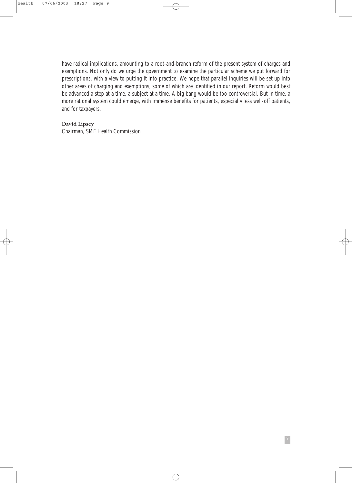have radical implications, amounting to a root-and-branch reform of the present system of charges and exemptions. Not only do we urge the government to examine the particular scheme we put forward for prescriptions, with a view to putting it into practice. We hope that parallel inquiries will be set up into other areas of charging and exemptions, some of which are identified in our report. Reform would best be advanced a step at a time, a subject at a time. A big bang would be too controversial. But in time, a more rational system could emerge, with immense benefits for patients, especially less well-off patients, and for taxpayers.

⊕

9

**David Lipsey** Chairman, SMF Health Commission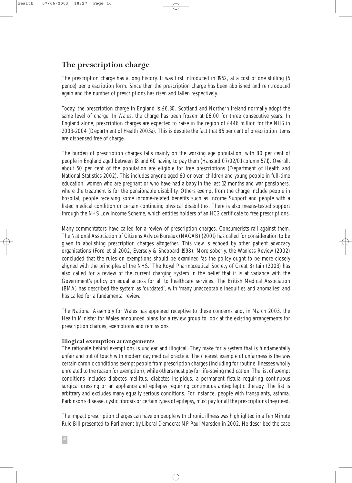## **The prescription charge**

The prescription charge has a long history. It was first introduced in 1952, at a cost of one shilling (5 pence) per prescription form. Since then the prescription charge has been abolished and reintroduced again and the number of prescriptions has risen and fallen respectively.

Today, the prescription charge in England is £6.30. Scotland and Northern Ireland normally adopt the same level of charge. In Wales, the charge has been frozen at £6.00 for three consecutive years. In England alone, prescription charges are expected to raise in the region of £446 million for the NHS in 2003-2004 (Department of Health 2003a). This is despite the fact that 85 per cent of prescription items are dispensed free of charge.

The burden of prescription charges falls mainly on the working age population, with 80 per cent of people in England aged between 18 and 60 having to pay them (Hansard 07/02/01 column 571). Overall, about 50 per cent of the population are eligible for free prescriptions (Department of Health and National Statistics 2002). This includes anyone aged 60 or over, children and young people in full-time education, women who are pregnant or who have had a baby in the last 12 months and war pensioners, where the treatment is for the pensionable disability. Others exempt from the charge include people in hospital, people receiving some income-related benefits such as Income Support and people with a listed medical condition or certain continuing physical disabilities. There is also means-tested support through the NHS Low Income Scheme, which entitles holders of an HC2 certificate to free prescriptions.

Many commentators have called for a review of prescription charges. Consumerists rail against them. The National Association of Citizens Advice Bureaux (NACAB) (2001) has called for consideration to be given to abolishing prescription charges altogether. This view is echoed by other patient advocacy organisations (Ford et al 2002, Eversely & Sheppard 1998). More soberly, the Wanless Review (2002) concluded that the rules on exemptions should be examined 'as the policy ought to be more closely aligned with the principles of the NHS.' The Royal Pharmaceutical Society of Great Britain (2003) has also called for a review of the current charging system in the belief that it is at variance with the Government's policy on equal access for all to healthcare services. The British Medical Association (BMA) has described the system as 'outdated', with 'many unacceptable inequities and anomalies' and has called for a fundamental review.

The National Assembly for Wales has appeared receptive to these concerns and, in March 2003, the Health Minister for Wales announced plans for a review group to look at the existing arrangements for prescription charges, exemptions and remissions.

#### **Illogical exemption arrangements**

The rationale behind exemptions is unclear and illogical. They make for a system that is fundamentally unfair and out of touch with modern day medical practice. The clearest example of unfairness is the way certain chronic conditions exempt people from prescription charges (including for routine illnesses wholly unrelated to the reason for exemption), while others must pay for life-saving medication. The list of exempt conditions includes diabetes mellitus, diabetes insipidus, a permanent fistula requiring continuous surgical dressing or an appliance and epilepsy requiring continuous antiepileptic therapy. The list is arbitrary and excludes many equally serious conditions. For instance, people with transplants, asthma, Parkinson's disease, cystic fibrosis or certain types of epilepsy, must pay for all the prescriptions they need.

The impact prescription charges can have on people with chronic illness was highlighted in a Ten Minute Rule Bill presented to Parliament by Liberal Democrat MP Paul Marsden in 2002. He described the case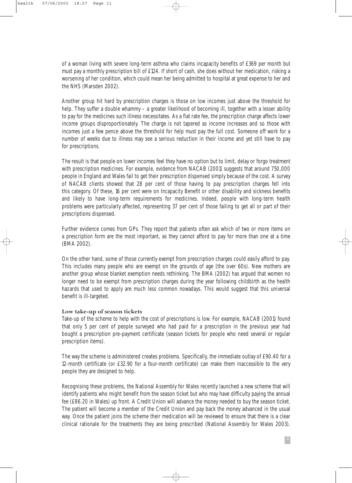of a woman living with severe long-term asthma who claims incapacity benefits of £369 per month but must pay a monthly prescription bill of £124. If short of cash, she does without her medication, risking a worsening of her condition, which could mean her being admitted to hospital at great expense to her and the NHS (Marsden 2002).

Another group hit hard by prescription charges is those on low incomes just above the threshold for help. They suffer a double whammy – a greater likelihood of becoming ill, together with a lesser ability to pay for the medicines such illness necessitates. As a flat rate fee, the prescription charge affects lower income groups disproportionately. The charge is not tapered as income increases and so those with incomes just a few pence above the threshold for help must pay the full cost. Someone off work for a number of weeks due to illness may see a serious reduction in their income and yet still have to pay for prescriptions.

The result is that people on lower incomes feel they have no option but to limit, delay or forgo treatment with prescription medicines. For example, evidence from NACAB (2001) suggests that around 750,000 people in England and Wales fail to get their prescription dispensed simply because of the cost. A survey of NACAB clients showed that 28 per cent of those having to pay prescription charges fell into this category. Of these, 16 per cent were on Incapacity Benefit or other disability and sickness benefits and likely to have long-term requirements for medicines. Indeed, people with long-term health problems were particularly affected, representing 37 per cent of those failing to get all or part of their prescriptions dispensed.

Further evidence comes from GPs. They report that patients often ask which of two or more items on a prescription form are the most important, as they cannot afford to pay for more than one at a time (BMA 2002).

On the other hand, some of those currently exempt from prescription charges could easily afford to pay. This includes many people who are exempt on the grounds of age (the over 60s). New mothers are another group whose blanket exemption needs rethinking. The BMA (2002) has argued that women no longer need to be exempt from prescription charges during the year following childbirth as the health hazards that used to apply are much less common nowadays. This would suggest that this universal benefit is ill-targeted.

#### **Low take-up of season tickets**

Take-up of the scheme to help with the cost of prescriptions is low. For example, NACAB (2001) found that only 5 per cent of people surveyed who had paid for a prescription in the previous year had bought a prescription pre-payment certificate (season tickets for people who need several or regular prescription items).

The way the scheme is administered creates problems. Specifically, the immediate outlay of £90.40 for a 12-month certificate (or £32.90 for a four-month certificate) can make them inaccessible to the very people they are designed to help.

Recognising these problems, the National Assembly for Wales recently launched a new scheme that will identify patients who might benefit from the season ticket but who may have difficulty paying the annual fee (£86.20 in Wales) up front. A Credit Union will advance the money needed to buy the season ticket. The patient will become a member of the Credit Union and pay back the money advanced in the usual way. Once the patient joins the scheme their medication will be reviewed to ensure that there is a clear clinical rationale for the treatments they are being prescribed (National Assembly for Wales 2003).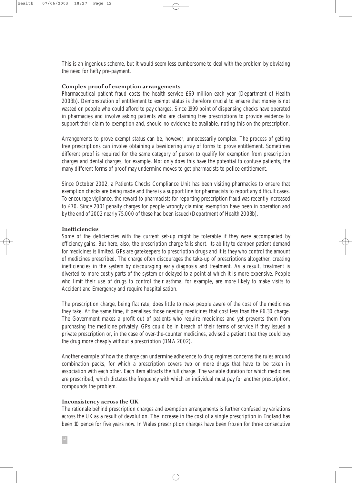This is an ingenious scheme, but it would seem less cumbersome to deal with the problem by obviating the need for hefty pre-payment.

#### **Complex proof of exemption arrangements**

Pharmaceutical patient fraud costs the health service £69 million each year (Department of Health 2003b). Demonstration of entitlement to exempt status is therefore crucial to ensure that money is not wasted on people who could afford to pay charges. Since 1999 point of dispensing checks have operated in pharmacies and involve asking patients who are claiming free prescriptions to provide evidence to support their claim to exemption and, should no evidence be available, noting this on the prescription.

Arrangements to prove exempt status can be, however, unnecessarily complex. The process of getting free prescriptions can involve obtaining a bewildering array of forms to prove entitlement. Sometimes different proof is required for the same category of person to qualify for exemption from prescription charges and dental charges, for example. Not only does this have the potential to confuse patients, the many different forms of proof may undermine moves to get pharmacists to police entitlement.

Since October 2002, a Patients Checks Compliance Unit has been visiting pharmacies to ensure that exemption checks are being made and there is a support line for pharmacists to report any difficult cases. To encourage vigilance, the reward to pharmacists for reporting prescription fraud was recently increased to £70. Since 2001 penalty charges for people wrongly claiming exemption have been in operation and by the end of 2002 nearly 75,000 of these had been issued (Department of Health 2003b).

#### **Inefficiencies**

Some of the deficiencies with the current set-up might be tolerable if they were accompanied by efficiency gains. But here, also, the prescription charge falls short. Its ability to dampen patient demand for medicines is limited. GPs are gatekeepers to prescription drugs and it is they who control the amount of medicines prescribed. The charge often discourages the take-up of prescriptions altogether, creating inefficiencies in the system by discouraging early diagnosis and treatment. As a result, treatment is diverted to more costly parts of the system or delayed to a point at which it is more expensive. People who limit their use of drugs to control their asthma, for example, are more likely to make visits to Accident and Emergency and require hospitalisation.

The prescription charge, being flat rate, does little to make people aware of the cost of the medicines they take. At the same time, it penalises those needing medicines that cost less than the £6.30 charge. The Government makes a profit out of patients who require medicines and yet prevents them from purchasing the medicine privately. GPs could be in breach of their terms of service if they issued a private prescription or, in the case of over-the-counter medicines, advised a patient that they could buy the drug more cheaply without a prescription (BMA 2002).

Another example of how the charge can undermine adherence to drug regimes concerns the rules around combination packs, for which a prescription covers two or more drugs that have to be taken in association with each other. Each item attracts the full charge. The variable duration for which medicines are prescribed, which dictates the frequency with which an individual must pay for another prescription, compounds the problem.

#### **Inconsistency across the UK**

The rationale behind prescription charges and exemption arrangements is further confused by variations across the UK as a result of devolution. The increase in the cost of a single prescription in England has been 10 pence for five years now. In Wales prescription charges have been frozen for three consecutive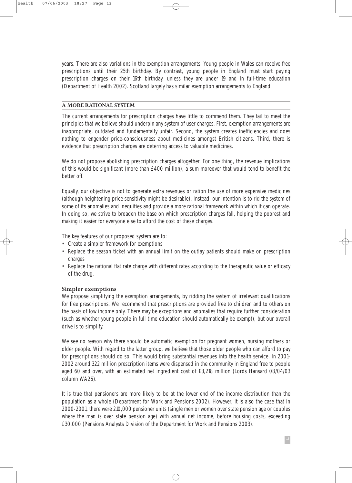years. There are also variations in the exemption arrangements. Young people in Wales can receive free prescriptions until their 25th birthday. By contrast, young people in England must start paying prescription charges on their 16th birthday, unless they are under 19 and in full-time education (Department of Health 2002). Scotland largely has similar exemption arrangements to England.

#### **A MORE RATIONAL SYSTEM**

The current arrangements for prescription charges have little to commend them. They fail to meet the principles that we believe should underpin any system of user charges. First, exemption arrangements are inappropriate, outdated and fundamentally unfair. Second, the system creates inefficiencies and does nothing to engender price-consciousness about medicines amongst British citizens. Third, there is evidence that prescription charges are deterring access to valuable medicines.

We do not propose abolishing prescription charges altogether. For one thing, the revenue implications of this would be significant (more than £400 million), a sum moreover that would tend to benefit the better off.

Equally, our objective is not to generate extra revenues or ration the use of more expensive medicines (although heightening price sensitivity might be desirable). Instead, our intention is to rid the system of some of its anomalies and inequities and provide a more rational framework within which it can operate. In doing so, we strive to broaden the base on which prescription charges fall, helping the poorest and making it easier for everyone else to afford the cost of these charges.

The key features of our proposed system are to:

- Create a simpler framework for exemptions
- Replace the season ticket with an annual limit on the outlay patients should make on prescription charges
- Replace the national flat rate charge with different rates according to the therapeutic value or efficacy of the drug.

#### **Simpler exemptions**

We propose simplifying the exemption arrangements, by ridding the system of irrelevant qualifications for free prescriptions. We recommend that prescriptions are provided free to children and to others on the basis of low income only. There may be exceptions and anomalies that require further consideration (such as whether young people in full time education should automatically be exempt), but our overall drive is to simplify.

We see no reason why there should be automatic exemption for pregnant women, nursing mothers or older people. With regard to the latter group, we believe that those older people who can afford to pay for prescriptions should do so. This would bring substantial revenues into the health service. In 2001- 2002 around 322 million prescription items were dispensed in the community in England free to people aged 60 and over, with an estimated net ingredient cost of £3,218 million (Lords Hansard 08/04/03 column WA26).

It is true that pensioners are more likely to be at the lower end of the income distribution than the population as a whole (Department for Work and Pensions 2002). However, it is also the case that in 2000-2001, there were 210,000 pensioner units (single men or women over state pension age or couples where the man is over state pension age) with annual net income, before housing costs, exceeding £30,000 (Pensions Analysts Division of the Department for Work and Pensions 2003).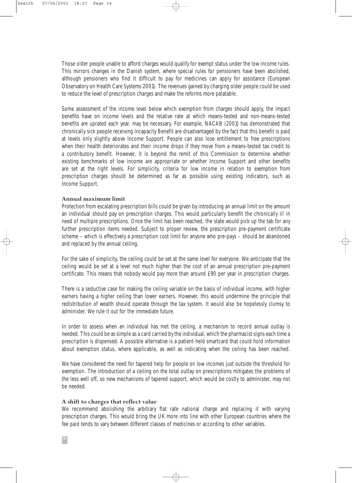Those older people unable to afford charges would qualify for exempt status under the low income rules. This mirrors changes in the Danish system, where special rules for pensioners have been abolished, although pensioners who find it difficult to pay for medicines can apply for assistance (European Observatory on Health Care Systems 2001). The revenues gained by charging older people could be used to reduce the level of prescription charges and make the reforms more palatable.

Some assessment of the income level below which exemption from charges should apply, the impact benefits have on income levels and the relative rate at which means-tested and non-means-tested benefits are uprated each year, may be necessary. For example, NACAB (2001) has demonstrated that chronically sick people receiving Incapacity Benefit are disadvantaged by the fact that this benefit is paid at levels only slightly above Income Support. People can also lose entitlement to free prescriptions when their health deteriorates and their income drops if they move from a means-tested tax credit to a contributory benefit. However, it is beyond the remit of this Commission to determine whether existing benchmarks of low income are appropriate or whether Income Support and other benefits are set at the right levels. For simplicity, criteria for low income in relation to exemption from prescription charges should be determined as far as possible using existing indicators, such as Income Support.

#### **Annual maximum limit**

Protection from escalating prescription bills could be given by introducing an annual limit on the amount an individual should pay on prescription charges. This would particularly benefit the chronically ill in need of multiple prescriptions. Once the limit has been reached, the state would pick up the tab for any further prescription items needed. Subject to proper review, the prescription pre-payment certificate scheme – which is effectively a prescription cost limit for anyone who pre-pays – should be abandoned and replaced by the annual ceiling.

For the sake of simplicity, the ceiling could be set at the same level for everyone. We anticipate that the ceiling would be set at a level not much higher than the cost of an annual prescription pre-payment certificate. This means that nobody would pay more than around £90 per year in prescription charges.

There is a seductive case for making the ceiling variable on the basis of individual income, with higher earners having a higher ceiling than lower earners. However, this would undermine the principle that redistribution of wealth should operate through the tax system. It would also be hopelessly clumsy to administer. We rule it out for the immediate future.

In order to assess when an individual has met the ceiling, a mechanism to record annual outlay is needed. This could be as simple as a card carried by the individual, which the pharmacist signs each time a prescription is dispensed. A possible alternative is a patient-held smartcard that could hold information about exemption status, where applicable, as well as indicating when the ceiling has been reached.

We have considered the need for tapered help for people on low incomes just outside the threshold for exemption. The introduction of a ceiling on the total outlay on prescriptions mitigates the problems of the less well off, so new mechanisms of tapered support, which would be costly to administer, may not be needed.

#### **A shift to charges that reflect value**

We recommend abolishing the arbitrary flat rate national charge and replacing it with varying prescription charges. This would bring the UK more into line with other European countries where the fee paid tends to vary between different classes of medicines or according to other variables.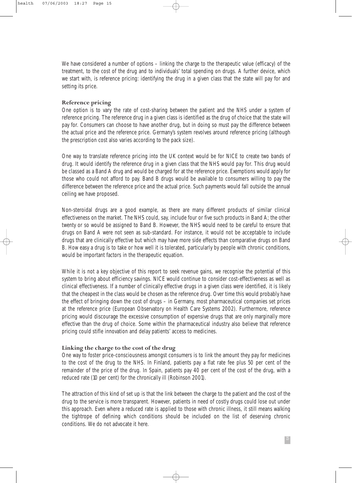We have considered a number of options – linking the charge to the therapeutic value (efficacy) of the treatment, to the cost of the drug and to individuals' total spending on drugs. A further device, which we start with, is reference pricing: identifying the drug in a given class that the state will pay for and setting its price.

#### **Reference pricing**

One option is to vary the rate of cost-sharing between the patient and the NHS under a system of reference pricing. The reference drug in a given class is identified as the drug of choice that the state will pay for. Consumers can choose to have another drug, but in doing so must pay the difference between the actual price and the reference price. Germany's system revolves around reference pricing (although the prescription cost also varies according to the pack size).

One way to translate reference pricing into the UK context would be for NICE to create two bands of drug. It would identify the reference drug in a given class that the NHS would pay for. This drug would be classed as a Band A drug and would be charged for at the reference price. Exemptions would apply for those who could not afford to pay. Band B drugs would be available to consumers willing to pay the difference between the reference price and the actual price. Such payments would fall outside the annual ceiling we have proposed.

Non-steroidal drugs are a good example, as there are many different products of similar clinical effectiveness on the market. The NHS could, say, include four or five such products in Band A; the other twenty or so would be assigned to Band B. However, the NHS would need to be careful to ensure that drugs on Band A were not seen as sub-standard. For instance, it would not be acceptable to include drugs that are clinically effective but which may have more side effects than comparative drugs on Band B. How easy a drug is to take or how well it is tolerated, particularly by people with chronic conditions, would be important factors in the therapeutic equation.

While it is not a key objective of this report to seek revenue gains, we recognise the potential of this system to bring about efficiency savings. NICE would continue to consider cost-effectiveness as well as clinical effectiveness. If a number of clinically effective drugs in a given class were identified, it is likely that the cheapest in the class would be chosen as the reference drug. Over time this would probably have the effect of bringing down the cost of drugs – in Germany, most pharmaceutical companies set prices at the reference price (European Observatory on Health Care Systems 2002). Furthermore, reference pricing would discourage the excessive consumption of expensive drugs that are only marginally more effective than the drug of choice. Some within the pharmaceutical industry also believe that reference pricing could stifle innovation and delay patients' access to medicines.

#### **Linking the charge to the cost of the drug**

One way to foster price-consciousness amongst consumers is to link the amount they pay for medicines to the cost of the drug to the NHS. In Finland, patients pay a flat rate fee plus 50 per cent of the remainder of the price of the drug. In Spain, patients pay 40 per cent of the cost of the drug, with a reduced rate (10 per cent) for the chronically ill (Robinson 2001).

The attraction of this kind of set up is that the link between the charge to the patient and the cost of the drug to the service is more transparent. However, patients in need of costly drugs could lose out under this approach. Even where a reduced rate is applied to those with chronic illness, it still means walking the tightrope of defining which conditions should be included on the list of deserving chronic conditions. We do not advocate it here.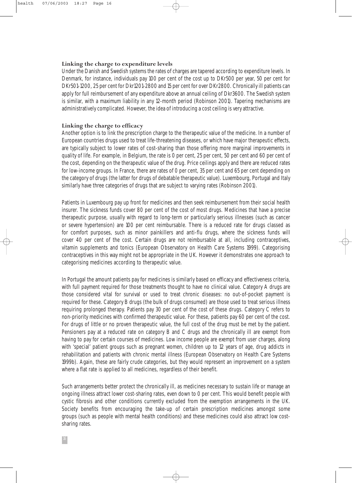## **Linking the charge to expenditure levels**

Under the Danish and Swedish systems the rates of charges are tapered according to expenditure levels. In Denmark, for instance, individuals pay 100 per cent of the cost up to DKr500 per year, 50 per cent for DKr501-1200, 25 per cent for Dkr1201-2800 and 15 per cent for over DKr2800. Chronically ill patients can apply for full reimbursement of any expenditure above an annual ceiling of Dkr3600. The Swedish system is similar, with a maximum liability in any 12-month period (Robinson 2001). Tapering mechanisms are administratively complicated. However, the idea of introducing a cost ceiling is very attractive.

#### **Linking the charge to efficacy**

Another option is to link the prescription charge to the therapeutic value of the medicine. In a number of European countries drugs used to treat life-threatening diseases, or which have major therapeutic effects, are typically subject to lower rates of cost-sharing than those offering more marginal improvements in quality of life. For example, in Belgium, the rate is 0 per cent, 25 per cent, 50 per cent and 60 per cent of the cost, depending on the therapeutic value of the drug. Price ceilings apply and there are reduced rates for low-income groups. In France, there are rates of 0 per cent, 35 per cent and 65 per cent depending on the category of drugs (the latter for drugs of debatable therapeutic value). Luxembourg, Portugal and Italy similarly have three categories of drugs that are subject to varying rates (Robinson 2001).

Patients in Luxembourg pay up front for medicines and then seek reimbursement from their social health insurer. The sickness funds cover 80 per cent of the cost of most drugs. Medicines that have a precise therapeutic purpose, usually with regard to long-term or particularly serious illnesses (such as cancer or severe hypertension) are 100 per cent reimbursable. There is a reduced rate for drugs classed as for comfort purposes, such as minor painkillers and anti-flu drugs, where the sickness funds will cover 40 per cent of the cost. Certain drugs are not reimbursable at all, including contraceptives, vitamin supplements and tonics (European Observatory on Health Care Systems 1999). Categorising contraceptives in this way might not be appropriate in the UK. However it demonstrates one approach to categorising medicines according to therapeutic value.

In Portugal the amount patients pay for medicines is similarly based on efficacy and effectiveness criteria, with full payment required for those treatments thought to have no clinical value. Category A drugs are those considered vital for survival or used to treat chronic diseases: no out-of-pocket payment is required for these. Category B drugs (the bulk of drugs consumed) are those used to treat serious illness requiring prolonged therapy. Patients pay 30 per cent of the cost of these drugs. Category C refers to non-priority medicines with confirmed therapeutic value. For these, patients pay 60 per cent of the cost. For drugs of little or no proven therapeutic value, the full cost of the drug must be met by the patient. Pensioners pay at a reduced rate on category B and C drugs and the chronically ill are exempt from having to pay for certain courses of medicines. Low income people are exempt from user charges, along with 'special' patient groups such as pregnant women, children up to 12 years of age, drug addicts in rehabilitation and patients with chronic mental illness (European Observatory on Health Care Systems 1999b). Again, these are fairly crude categories, but they would represent an improvement on a system where a flat rate is applied to all medicines, regardless of their benefit.

Such arrangements better protect the chronically ill, as medicines necessary to sustain life or manage an ongoing illness attract lower cost-sharing rates, even down to 0 per cent. This would benefit people with cystic fibrosis and other conditions currently excluded from the exemption arrangements in the UK. Society benefits from encouraging the take-up of certain prescription medicines amongst some groups (such as people with mental health conditions) and these medicines could also attract low costsharing rates.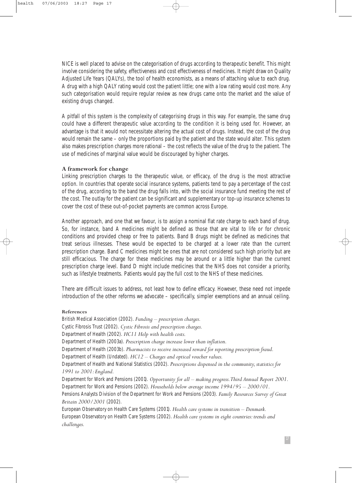NICE is well placed to advise on the categorisation of drugs according to therapeutic benefit. This might involve considering the safety, effectiveness and cost effectiveness of medicines. It might draw on Quality Adjusted Life Years (QALYs), the tool of health economists, as a means of attaching value to each drug. A drug with a high QALY rating would cost the patient little; one with a low rating would cost more. Any such categorisation would require regular review as new drugs came onto the market and the value of existing drugs changed.

A pitfall of this system is the complexity of categorising drugs in this way. For example, the same drug could have a different therapeutic value according to the condition it is being used for. However, an advantage is that it would not necessitate altering the actual cost of drugs. Instead, the cost of the drug would remain the same – only the proportions paid by the patient and the state would alter. This system also makes prescription charges more rational – the cost reflects the value of the drug to the patient. The use of medicines of marginal value would be discouraged by higher charges.

#### **A framework for change**

Linking prescription charges to the therapeutic value, or efficacy, of the drug is the most attractive option. In countries that operate social insurance systems, patients tend to pay a percentage of the cost of the drug, according to the band the drug falls into, with the social insurance fund meeting the rest of the cost. The outlay for the patient can be significant and supplementary or top-up insurance schemes to cover the cost of these out-of-pocket payments are common across Europe.

Another approach, and one that we favour, is to assign a nominal flat rate charge to each band of drug. So, for instance, band A medicines might be defined as those that are vital to life or for chronic conditions and provided cheap or free to patients. Band B drugs might be defined as medicines that treat serious illnesses. These would be expected to be charged at a lower rate than the current prescription charge. Band C medicines might be ones that are not considered such high priority but are still efficacious. The charge for these medicines may be around or a little higher than the current prescription charge level. Band D might include medicines that the NHS does not consider a priority, such as lifestyle treatments. Patients would pay the full cost to the NHS of these medicines.

There are difficult issues to address, not least how to define efficacy. However, these need not impede introduction of the other reforms we advocate – specifically, simpler exemptions and an annual ceiling.

#### **References**

British Medical Association (2002). *Funding – prescription charges.* Cystic Fibrosis Trust (2002). *Cystic Fibrosis and prescription charges.* Department of Health (2002). *HC11 Help with health costs.* Department of Health (2003a). *Prescription charge increase lower than inflation.* Department of Health (2003b). *Pharmacists to receive increased reward for reporting prescription fraud.* Department of Health (Undated). *HC12 – Charges and optical voucher values.* Department of Health and National Statistics (2002). *Prescriptions dispensed in the community, statistics for 1991 to 2001: England.* Department for Work and Pensions (2001). *Opportunity for all – making progress.Third Annual Report 2001.* Department for Work and Pensions (2002). *Households below average income 1994/95 – 2000/01.* Pensions Analysts Division of the Department for Work and Pensions (2003). *Family Resources Survey of Great Britain 2000/2001* (2002). European Observatory on Health Care Systems (2001). *Health care systems in transition – Denmark.* European Observatory on Health Care Systems (2002). *Health care systems in eight countries: trends and challenges.*

17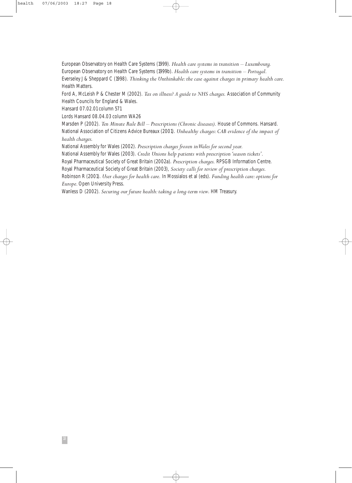European Observatory on Health Care Systems (1999). *Health care systems in transition – Luxembourg.* European Observatory on Health Care Systems (1999b). *Health care systems in transition – Portugal.* Everseley J & Sheppard C (1998). *Thinking the Unthinkable: the case against charges in primary health care.* Health Matters.

Ford A, McLeish P & Chester M (2002). *Tax on illness? A guide to NHS charges.* Association of Community Health Councils for England & Wales.

Hansard 07.02.01 column 571

Lords Hansard 08.04.03 column WA26

Marsden P (2002). *Ten Minute Rule Bill – Prescriptions (Chronic diseases).* House of Commons. Hansard. National Association of Citizens Advice Bureaux (2001). *Unhealthy charges: CAB evidence of the impact of health charges*.

National Assembly for Wales (2002). *Prescription charges frozen in Wales for second year.*

National Assembly for Wales (2003). *Credit Unions help patients with prescription 'season tickets'.*

Royal Pharmaceutical Society of Great Britain (2002a). *Prescription charges.* RPSGB Information Centre.

Royal Pharmaceutical Society of Great Britain (2003), *Society calls for review of prescription charges.*

Robinson R (2001). *User charges for health care.* In Mossialos et al (eds). *Funding health care: options for Europe.*Open University Press.

Wanless D (2002). *Securing our future health: taking a long-term view*. HM Treasury.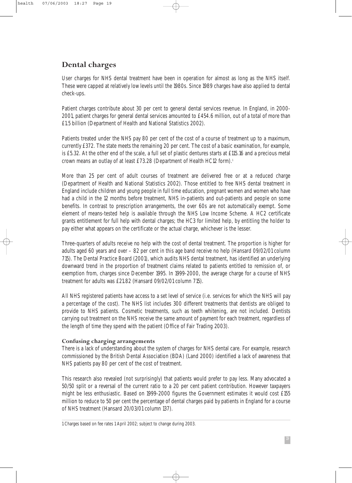# **Dental charges**

User charges for NHS dental treatment have been in operation for almost as long as the NHS itself. These were capped at relatively low levels until the 1980s. Since 1989 charges have also applied to dental check-ups.

Patient charges contribute about 30 per cent to general dental services revenue. In England, in 2000- 2001, patient charges for general dental services amounted to £454.6 million, out of a total of more than £1.5 billion (Department of Health and National Statistics 2002).

Patients treated under the NHS pay 80 per cent of the cost of a course of treatment up to a maximum, currently £372. The state meets the remaining 20 per cent. The cost of a basic examination, for example, is £5.32. At the other end of the scale, a full set of plastic dentures starts at £115.16 and a precious metal crown means an outlay of at least £73.28 (Department of Health HC12 form).<sup>1</sup>

More than 25 per cent of adult courses of treatment are delivered free or at a reduced charge (Department of Health and National Statistics 2002). Those entitled to free NHS dental treatment in England include children and young people in full time education, pregnant women and women who have had a child in the 12 months before treatment, NHS in-patients and out-patients and people on some benefits. In contrast to prescription arrangements, the over 60s are not automatically exempt. Some element of means-tested help is available through the NHS Low Income Scheme. A HC2 certificate grants entitlement for full help with dental charges; the HC3 for limited help, by entitling the holder to pay either what appears on the certificate or the actual charge, whichever is the lesser.

Three-quarters of adults receive no help with the cost of dental treatment. The proportion is higher for adults aged 60 years and over – 82 per cent in this age band receive no help (Hansard 09/02/01 column 715). The Dental Practice Board (2001), which audits NHS dental treatment, has identified an underlying downward trend in the proportion of treatment claims related to patients entitled to remission of, or exemption from, charges since December 1995. In 1999-2000, the average charge for a course of NHS treatment for adults was £21.82 (Hansard 09/02/01 column 715).

All NHS registered patients have access to a set level of service (i.e. services for which the NHS will pay a percentage of the cost). The NHS list includes 300 different treatments that dentists are obliged to provide to NHS patients. Cosmetic treatments, such as teeth whitening, are not included. Dentists carrying out treatment on the NHS receive the same amount of payment for each treatment, regardless of the length of time they spend with the patient (Office of Fair Trading 2003).

#### **Confusing charging arrangements**

There is a lack of understanding about the system of charges for NHS dental care. For example, research commissioned by the British Dental Association (BDA) (Land 2000) identified a lack of awareness that NHS patients pay 80 per cent of the cost of treatment.

This research also revealed (not surprisingly) that patients would prefer to pay less. Many advocated a 50/50 split or a reversal of the current ratio to a 20 per cent patient contribution. However taxpayers might be less enthusiastic. Based on 1999-2000 figures the Government estimates it would cost £155 million to reduce to 50 per cent the percentage of dental charges paid by patients in England for a course of NHS treatment (Hansard 20/03/01 column 137).

<sup>1</sup> Charges based on fee rates 1 April 2002; subject to change during 2003.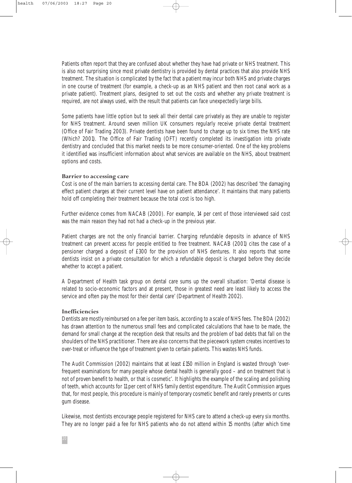Patients often report that they are confused about whether they have had private or NHS treatment. This is also not surprising since most private dentistry is provided by dental practices that also provide NHS treatment. The situation is complicated by the fact that a patient may incur both NHS and private charges in one course of treatment (for example, a check-up as an NHS patient and then root canal work as a private patient). Treatment plans, designed to set out the costs and whether any private treatment is required, are not always used, with the result that patients can face unexpectedly large bills.

Some patients have little option but to seek all their dental care privately as they are unable to register for NHS treatment. Around seven million UK consumers regularly receive private dental treatment (Office of Fair Trading 2003). Private dentists have been found to charge up to six times the NHS rate (Which? 2001). The Office of Fair Trading (OFT) recently completed its investigation into private dentistry and concluded that this market needs to be more consumer-oriented. One of the key problems it identified was insufficient information about what services are available on the NHS, about treatment options and costs.

#### **Barrier to accessing care**

Cost is one of the main barriers to accessing dental care. The BDA (2002) has described 'the damaging effect patient charges at their current level have on patient attendance'. It maintains that many patients hold off completing their treatment because the total cost is too high.

Further evidence comes from NACAB (2000). For example, 14 per cent of those interviewed said cost was the main reason they had not had a check-up in the previous year.

Patient charges are not the only financial barrier. Charging refundable deposits in advance of NHS treatment can prevent access for people entitled to free treatment. NACAB (2001) cites the case of a pensioner charged a deposit of £300 for the provision of NHS dentures. It also reports that some dentists insist on a private consultation for which a refundable deposit is charged before they decide whether to accept a patient.

A Department of Health task group on dental care sums up the overall situation: 'Dental disease is related to socio-economic factors and at present, those in greatest need are least likely to access the service and often pay the most for their dental care' (Department of Health 2002).

#### **Inefficiencies**

Dentists are mostly reimbursed on a fee per item basis, according to a scale of NHS fees. The BDA (2002) has drawn attention to the numerous small fees and complicated calculations that have to be made, the demand for small change at the reception desk that results and the problem of bad debts that fall on the shoulders of the NHS practitioner. There are also concerns that the piecework system creates incentives to over-treat or influence the type of treatment given to certain patients. This wastes NHS funds.

The Audit Commission (2002) maintains that at least £150 million in England is wasted through 'overfrequent examinations for many people whose dental health is generally good – and on treatment that is not of proven benefit to health, or that is cosmetic'. It highlights the example of the scaling and polishing of teeth, which accounts for 11 per cent of NHS family dentist expenditure. The Audit Commission argues that, for most people, this procedure is mainly of temporary cosmetic benefit and rarely prevents or cures gum disease.

Likewise, most dentists encourage people registered for NHS care to attend a check-up every six months. They are no longer paid a fee for NHS patients who do not attend within 15 months (after which time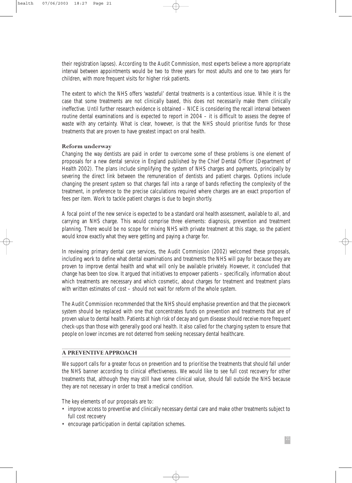their registration lapses). According to the Audit Commission, most experts believe a more appropriate interval between appointments would be two to three years for most adults and one to two years for children, with more frequent visits for higher risk patients.

The extent to which the NHS offers 'wasteful' dental treatments is a contentious issue. While it is the case that some treatments are not clinically based, this does not necessarily make them clinically ineffective. Until further research evidence is obtained – NICE is considering the recall interval between routine dental examinations and is expected to report in 2004 – it is difficult to assess the degree of waste with any certainty. What is clear, however, is that the NHS should prioritise funds for those treatments that are proven to have greatest impact on oral health.

#### **Reform underway**

Changing the way dentists are paid in order to overcome some of these problems is one element of proposals for a new dental service in England published by the Chief Dental Officer (Department of Health 2002). The plans include simplifying the system of NHS charges and payments, principally by severing the direct link between the remuneration of dentists and patient charges. Options include changing the present system so that charges fall into a range of bands reflecting the complexity of the treatment, in preference to the precise calculations required where charges are an exact proportion of fees per item. Work to tackle patient charges is due to begin shortly.

A focal point of the new service is expected to be a standard oral health assessment, available to all, and carrying an NHS charge. This would comprise three elements: diagnosis, prevention and treatment planning. There would be no scope for mixing NHS with private treatment at this stage, so the patient would know exactly what they were getting and paying a charge for.

In reviewing primary dental care services, the Audit Commission (2002) welcomed these proposals, including work to define what dental examinations and treatments the NHS will pay for because they are proven to improve dental health and what will only be available privately. However, it concluded that change has been too slow. It argued that initiatives to empower patients – specifically, information about which treatments are necessary and which cosmetic, about charges for treatment and treatment plans with written estimates of cost – should not wait for reform of the whole system.

The Audit Commission recommended that the NHS should emphasise prevention and that the piecework system should be replaced with one that concentrates funds on prevention and treatments that are of proven value to dental health. Patients at high risk of decay and gum disease should receive more frequent check-ups than those with generally good oral health. It also called for the charging system to ensure that people on lower incomes are not deterred from seeking necessary dental healthcare.

#### **A PREVENTIVE APPROACH**

We support calls for a greater focus on prevention and to prioritise the treatments that should fall under the NHS banner according to clinical effectiveness. We would like to see full cost recovery for other treatments that, although they may still have some clinical value, should fall outside the NHS because they are not necessary in order to treat a medical condition.

The key elements of our proposals are to:

- improve access to preventive and clinically necessary dental care and make other treatments subject to full cost recovery
- encourage participation in dental capitation schemes.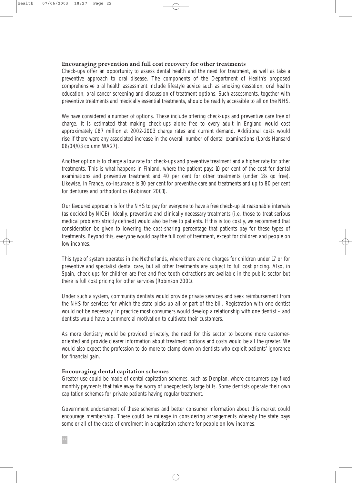#### **Encouraging prevention and full cost recovery for other treatments**

Check-ups offer an opportunity to assess dental health and the need for treatment, as well as take a preventive approach to oral disease. The components of the Department of Health's proposed comprehensive oral health assessment include lifestyle advice such as smoking cessation, oral health education, oral cancer screening and discussion of treatment options. Such assessments, together with preventive treatments and medically essential treatments, should be readily accessible to all on the NHS.

We have considered a number of options. These include offering check-ups and preventive care free of charge. It is estimated that making check-ups alone free to every adult in England would cost approximately £87 million at 2002-2003 charge rates and current demand. Additional costs would rise if there were any associated increase in the overall number of dental examinations (Lords Hansard 08/04/03 column WA27).

Another option is to charge a low rate for check-ups and preventive treatment and a higher rate for other treatments. This is what happens in Finland, where the patient pays 10 per cent of the cost for dental examinations and preventive treatment and 40 per cent for other treatments (under 18s go free). Likewise, in France, co-insurance is 30 per cent for preventive care and treatments and up to 80 per cent for dentures and orthodontics (Robinson 2001).

Our favoured approach is for the NHS to pay for everyone to have a free check-up at reasonable intervals (as decided by NICE). Ideally, preventive and clinically necessary treatments (i.e. those to treat serious medical problems strictly defined) would also be free to patients. If this is too costly, we recommend that consideration be given to lowering the cost-sharing percentage that patients pay for these types of treatments. Beyond this, everyone would pay the full cost of treatment, except for children and people on low incomes.

This type of system operates in the Netherlands, where there are no charges for children under 17 or for preventive and specialist dental care, but all other treatments are subject to full cost pricing. Also, in Spain, check-ups for children are free and free tooth extractions are available in the public sector but there is full cost pricing for other services (Robinson 2001).

Under such a system, community dentists would provide private services and seek reimbursement from the NHS for services for which the state picks up all or part of the bill. Registration with one dentist would not be necessary. In practice most consumers would develop a relationship with one dentist – and dentists would have a commercial motivation to cultivate their customers.

As more dentistry would be provided privately, the need for this sector to become more customeroriented and provide clearer information about treatment options and costs would be all the greater. We would also expect the profession to do more to clamp down on dentists who exploit patients' ignorance for financial gain.

#### **Encouraging dental capitation schemes**

Greater use could be made of dental capitation schemes, such as Denplan, where consumers pay fixed monthly payments that take away the worry of unexpectedly large bills. Some dentists operate their own capitation schemes for private patients having regular treatment.

Government endorsement of these schemes and better consumer information about this market could encourage membership. There could be mileage in considering arrangements whereby the state pays some or all of the costs of enrolment in a capitation scheme for people on low incomes.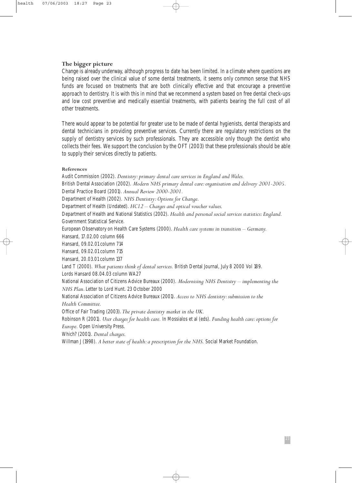#### **The bigger picture**

Change is already underway, although progress to date has been limited. In a climate where questions are being raised over the clinical value of some dental treatments, it seems only common sense that NHS funds are focused on treatments that are both clinically effective and that encourage a preventive approach to dentistry. It is with this in mind that we recommend a system based on free dental check-ups and low cost preventive and medically essential treatments, with patients bearing the full cost of all other treatments.

There would appear to be potential for greater use to be made of dental hygienists, dental therapists and dental technicians in providing preventive services. Currently there are regulatory restrictions on the supply of dentistry services by such professionals. They are accessible only though the dentist who collects their fees. We support the conclusion by the OFT (2003) that these professionals should be able to supply their services directly to patients.

#### **References**

Audit Commission (2002). *Dentistry: primary dental care services in England and Wales.* British Dental Association (2002). *Modern NHS primary dental care: organisation and delivery 2001-2005.* Dental Practice Board (2001). *Annual Review 2000-2001.* Department of Health (2002). *NHS Dentistry: Options for Change.* Department of Health (Undated). *HC12 – Charges and optical voucher values.* Department of Health and National Statistics (2002). *Health and personal social services statistics: England.* Government Statistical Service. European Observatory on Health Care Systems (2000). *Health care systems in transition – Germany.* Hansard, 17.02.00 column 666 Hansard, 09.02.01 column 714 Hansard, 09.02.01 column 715 Hansard, 20.03.01 column 137 Land T (2000). *What patients think of dental services.* British Dental Journal, July 8 2000 Vol 189. Lords Hansard 08.04.03 column WA27 National Association of Citizens Advice Bureaux (2000). *Modernising NHS Dentistry – implementing the NHS Plan.* Letter to Lord Hunt. 23 October 2000 National Association of Citizens Advice Bureaux (2001). *Access to NHS dentistry: submission to the Health Committee.* Office of Fair Trading (2003).*The private dentistry market in the UK.* Robinson R (2001). *User charges for health care.* In Mossialos et al (eds). *Funding health care: options for Europe.* Open University Press. Which? (2001). *Dental charges.*

Willman J (1998). *A better state of health: a prescription for the NHS.* Social Market Foundation.

23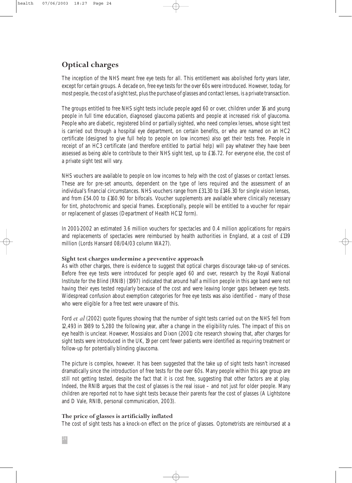health 07/06/2003 18:27 Page 24

# **Optical charges**

The inception of the NHS meant free eye tests for all. This entitlement was abolished forty years later, except for certain groups. A decade on, free eye tests for the over 60s were introduced. However, today, for most people, the cost of a sight test, plus the purchase of glasses and contact lenses, is a private transaction.

The groups entitled to free NHS sight tests include people aged 60 or over, children under 16 and young people in full time education, diagnosed glaucoma patients and people at increased risk of glaucoma. People who are diabetic, registered blind or partially sighted, who need complex lenses, whose sight test is carried out through a hospital eye department, on certain benefits, or who are named on an HC2 certificate (designed to give full help to people on low incomes) also get their tests free. People in receipt of an HC3 certificate (and therefore entitled to partial help) will pay whatever they have been assessed as being able to contribute to their NHS sight test, up to £16.72. For everyone else, the cost of a private sight test will vary.

NHS vouchers are available to people on low incomes to help with the cost of glasses or contact lenses. These are for pre-set amounts, dependent on the type of lens required and the assessment of an individual's financial circumstances. NHS vouchers range from £31.30 to £146.30 for single vision lenses, and from £54.00 to £160.90 for bifocals. Voucher supplements are available where clinically necessary for tint, photochromic and special frames. Exceptionally, people will be entitled to a voucher for repair or replacement of glasses (Department of Health HC12 form).

In 2001-2002 an estimated 3.6 million vouchers for spectacles and 0.4 million applications for repairs and replacements of spectacles were reimbursed by health authorities in England, at a cost of £139 million (Lords Hansard 08/04/03 column WA27).

## **Sight test charges undermine a preventive approach**

As with other charges, there is evidence to suggest that optical charges discourage take-up of services. Before free eye tests were introduced for people aged 60 and over, research by the Royal National Institute for the Blind (RNIB) (1997) indicated that around half a million people in this age band were not having their eyes tested regularly because of the cost and were leaving longer gaps between eye tests. Widespread confusion about exemption categories for free eye tests was also identified – many of those who were eligible for a free test were unaware of this.

Ford *et al* (2002) quote figures showing that the number of sight tests carried out on the NHS fell from 12,493 in 1989 to 5,280 the following year, after a change in the eligibility rules. The impact of this on eye health is unclear. However, Mossialos and Dixon (2001) cite research showing that, after charges for sight tests were introduced in the UK, 19 per cent fewer patients were identified as requiring treatment or follow-up for potentially blinding glaucoma.

The picture is complex, however. It has been suggested that the take up of sight tests hasn't increased dramatically since the introduction of free tests for the over 60s. Many people within this age group are still not getting tested, despite the fact that it is cost free, suggesting that other factors are at play. Indeed, the RNIB argues that the cost of glasses is the real issue – and not just for older people. Many children are reported not to have sight tests because their parents fear the cost of glasses (A Lightstone and D Vale, RNIB, personal communication, 2003).

#### **The price of glasses is artificially inflated**

The cost of sight tests has a knock-on effect on the price of glasses. Optometrists are reimbursed at a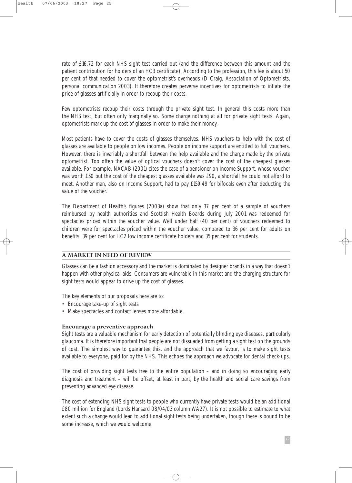rate of £16.72 for each NHS sight test carried out (and the difference between this amount and the patient contribution for holders of an HC3 certificate). According to the profession, this fee is about 50 per cent of that needed to cover the optometrist's overheads (D Craig, Association of Optometrists, personal communication 2003). It therefore creates perverse incentives for optometrists to inflate the price of glasses artificially in order to recoup their costs.

Few optometrists recoup their costs through the private sight test. In general this costs more than the NHS test, but often only marginally so. Some charge nothing at all for private sight tests. Again, optometrists mark up the cost of glasses in order to make their money.

Most patients have to cover the costs of glasses themselves. NHS vouchers to help with the cost of glasses are available to people on low incomes. People on income support are entitled to full vouchers. However, there is invariably a shortfall between the help available and the charge made by the private optometrist. Too often the value of optical vouchers doesn't cover the cost of the cheapest glasses available. For example, NACAB (2001) cites the case of a pensioner on Income Support, whose voucher was worth £50 but the cost of the cheapest glasses available was £90, a shortfall he could not afford to meet. Another man, also on Income Support, had to pay £159.49 for bifocals even after deducting the value of the voucher.

The Department of Health's figures (2003a) show that only 37 per cent of a sample of vouchers reimbursed by health authorities and Scottish Health Boards during July 2001 was redeemed for spectacles priced within the voucher value. Well under half (40 per cent) of vouchers redeemed to children were for spectacles priced within the voucher value, compared to 36 per cent for adults on benefits, 39 per cent for HC2 low income certificate holders and 35 per cent for students.

#### **A MARKET IN NEED OF REVIEW**

Glasses can be a fashion accessory and the market is dominated by designer brands in a way that doesn't happen with other physical aids. Consumers are vulnerable in this market and the charging structure for sight tests would appear to drive up the cost of glasses.

The key elements of our proposals here are to:

- Encourage take-up of sight tests
- Make spectacles and contact lenses more affordable.

#### **Encourage a preventive approach**

Sight tests are a valuable mechanism for early detection of potentially blinding eye diseases, particularly glaucoma. It is therefore important that people are not dissuaded from getting a sight test on the grounds of cost. The simplest way to guarantee this, and the approach that we favour, is to make sight tests available to everyone, paid for by the NHS. This echoes the approach we advocate for dental check-ups.

The cost of providing sight tests free to the entire population – and in doing so encouraging early diagnosis and treatment – will be offset, at least in part, by the health and social care savings from preventing advanced eye disease.

The cost of extending NHS sight tests to people who currently have private tests would be an additional £80 million for England (Lords Hansard 08/04/03 column WA27). It is not possible to estimate to what extent such a change would lead to additional sight tests being undertaken, though there is bound to be some increase, which we would welcome.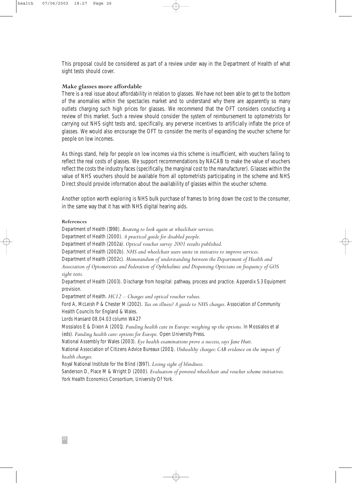This proposal could be considered as part of a review under way in the Department of Health of what sight tests should cover.

#### **Make glasses more affordable**

There is a real issue about affordability in relation to glasses. We have not been able to get to the bottom of the anomalies within the spectacles market and to understand why there are apparently so many outlets charging such high prices for glasses. We recommend that the OFT considers conducting a review of this market. Such a review should consider the system of reimbursement to optometrists for carrying out NHS sight tests and, specifically, any perverse incentives to artificially inflate the price of glasses. We would also encourage the OFT to consider the merits of expanding the voucher scheme for people on low incomes.

As things stand, help for people on low incomes via this scheme is insufficient, with vouchers failing to reflect the real costs of glasses. We support recommendations by NACAB to make the value of vouchers reflect the costs the industry faces (specifically, the marginal cost to the manufacturer). Glasses within the value of NHS vouchers should be available from all optometrists participating in the scheme and NHS Direct should provide information about the availability of glasses within the voucher scheme.

Another option worth exploring is NHS bulk purchase of frames to bring down the cost to the consumer, in the same way that it has with NHS digital hearing aids.

#### **References**

Department of Health (1998). *Boateng to look again at wheelchair services.* Department of Health (2000). *A practical guide for disabled people.* Department of Health (2002a). *Optical voucher survey 2001 results published.* Department of Health (2002b). *NHS and wheelchair users unite in initiative to improve services.* Department of Health (2002c). *Memorandum of understanding between the Department of Health and Association of Optometrists and Federation of Ophthalmic and Dispensing Opticians on frequency of GOS sight tests.* Department of Health (2003). Discharge from hospital: pathway, process and practice. Appendix 5.3 Equipment provision. Department of Health. *HC12 – Charges and optical voucher values.* Ford A, McLeish P & Chester M (2002). *Tax on illness? A guide to NHS charges.* Association of Community Health Councils for England & Wales. Lords Hansard 08.04.03 column WA27 Mossialos E & Dixon A (2001). *Funding health care in Europe: weighing up the options.* In Mossialos et al (eds). *Funding health care: options for Europe.* Open University Press. National Assembly for Wales (2003). *Eye health examinations prove a success, says Jane Hutt.* National Association of Citizens Advice Bureaux (2001). *Unhealthy charges: CAB evidence on the impact of*

#### *health charges.*

Royal National Institute for the Blind (1997). *Losing sight of blindness.*

Sanderson D, Place M & Wright D (2000). *Evaluation of powered wheelchair and voucher scheme initiatives.* York Health Economics Consortium, University Of York.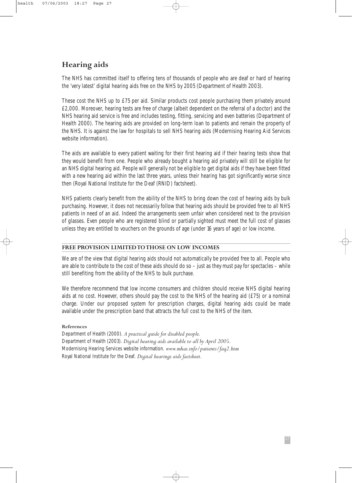# **Hearing aids**

The NHS has committed itself to offering tens of thousands of people who are deaf or hard of hearing the 'very latest' digital hearing aids free on the NHS by 2005 (Department of Health 2003).

These cost the NHS up to £75 per aid. Similar products cost people purchasing them privately around £2,000. Moreover, hearing tests are free of charge (albeit dependent on the referral of a doctor) and the NHS hearing aid service is free and includes testing, fitting, servicing and even batteries (Department of Health 2000). The hearing aids are provided on long-term loan to patients and remain the property of the NHS. It is against the law for hospitals to sell NHS hearing aids (Modernising Hearing Aid Services website information).

The aids are available to every patient waiting for their first hearing aid if their hearing tests show that they would benefit from one. People who already bought a hearing aid privately will still be eligible for an NHS digital hearing aid. People will generally not be eligible to get digital aids if they have been fitted with a new hearing aid within the last three years, unless their hearing has got significantly worse since then (Royal National Institute for the Deaf (RNID) factsheet).

NHS patients clearly benefit from the ability of the NHS to bring down the cost of hearing aids by bulk purchasing. However, it does not necessarily follow that hearing aids should be provided free to all NHS patients in need of an aid. Indeed the arrangements seem unfair when considered next to the provision of glasses. Even people who are registered blind or partially sighted must meet the full cost of glasses unless they are entitled to vouchers on the grounds of age (under 16 years of age) or low income.

#### **FREE PROVISION LIMITED TO THOSE ON LOW INCOMES**

We are of the view that digital hearing aids should not automatically be provided free to all. People who are able to contribute to the cost of these aids should do so – just as they must pay for spectacles – while still benefiting from the ability of the NHS to bulk purchase.

We therefore recommend that low income consumers and children should receive NHS digital hearing aids at no cost. However, others should pay the cost to the NHS of the hearing aid (£75) or a nominal charge. Under our proposed system for prescription charges, digital hearing aids could be made available under the prescription band that attracts the full cost to the NHS of the item.

#### **References**

Department of Health (2000). *A practical guide for disabled people.* Department of Health (2003). *Digital hearing aids available to all by April 2005.* Modernising Hearing Services website information. *www.mhas.info/patients/faq2.htm* Royal National Institute for the Deaf. *Digital hearings aids factsheet.*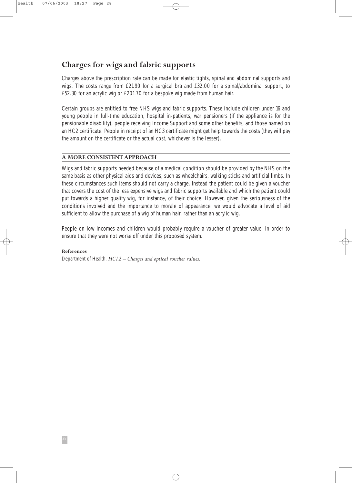# **Charges for wigs and fabric supports**

Charges above the prescription rate can be made for elastic tights, spinal and abdominal supports and wigs. The costs range from £21.90 for a surgical bra and £32.00 for a spinal/abdominal support, to £52.30 for an acrylic wig or £201.70 for a bespoke wig made from human hair.

Certain groups are entitled to free NHS wigs and fabric supports. These include children under 16 and young people in full-time education, hospital in-patients, war pensioners (if the appliance is for the pensionable disability), people receiving Income Support and some other benefits, and those named on an HC2 certificate. People in receipt of an HC3 certificate might get help towards the costs (they will pay the amount on the certificate or the actual cost, whichever is the lesser).

#### **A MORE CONSISTENT APPROACH**

Wigs and fabric supports needed because of a medical condition should be provided by the NHS on the same basis as other physical aids and devices, such as wheelchairs, walking sticks and artificial limbs. In these circumstances such items should not carry a charge. Instead the patient could be given a voucher that covers the cost of the less expensive wigs and fabric supports available and which the patient could put towards a higher quality wig, for instance, of their choice. However, given the seriousness of the conditions involved and the importance to morale of appearance, we would advocate a level of aid sufficient to allow the purchase of a wig of human hair, rather than an acrylic wig.

People on low incomes and children would probably require a voucher of greater value, in order to ensure that they were not worse off under this proposed system.

**References** Department of Health. *HC12 – Charges and optical voucher values.*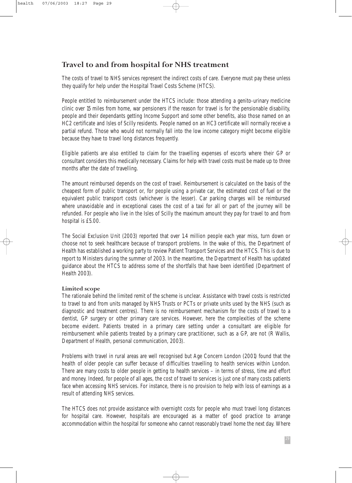## **Travel to and from hospital for NHS treatment**

The costs of travel to NHS services represent the indirect costs of care. Everyone must pay these unless they qualify for help under the Hospital Travel Costs Scheme (HTCS).

People entitled to reimbursement under the HTCS include: those attending a genito-urinary medicine clinic over 15 miles from home, war pensioners if the reason for travel is for the pensionable disability, people and their dependants getting Income Support and some other benefits, also those named on an HC2 certificate and Isles of Scilly residents. People named on an HC3 certificate will normally receive a partial refund. Those who would not normally fall into the low income category might become eligible because they have to travel long distances frequently.

Eligible patients are also entitled to claim for the travelling expenses of escorts where their GP or consultant considers this medically necessary. Claims for help with travel costs must be made up to three months after the date of travelling.

The amount reimbursed depends on the cost of travel. Reimbursement is calculated on the basis of the cheapest form of public transport or, for people using a private car, the estimated cost of fuel or the equivalent public transport costs (whichever is the lesser). Car parking charges will be reimbursed where unavoidable and in exceptional cases the cost of a taxi for all or part of the journey will be refunded. For people who live in the Isles of Scilly the maximum amount they pay for travel to and from hospital is £5.00.

The Social Exclusion Unit (2003) reported that over 1.4 million people each year miss, turn down or choose not to seek healthcare because of transport problems. In the wake of this, the Department of Health has established a working party to review Patient Transport Services and the HTCS. This is due to report to Ministers during the summer of 2003. In the meantime, the Department of Health has updated guidance about the HTCS to address some of the shortfalls that have been identified (Department of Health 2003).

#### **Limited scope**

The rationale behind the limited remit of the scheme is unclear. Assistance with travel costs is restricted to travel to and from units managed by NHS Trusts or PCTs or private units used by the NHS (such as diagnostic and treatment centres). There is no reimbursement mechanism for the costs of travel to a dentist, GP surgery or other primary care services. However, here the complexities of the scheme become evident. Patients treated in a primary care setting under a consultant are eligible for reimbursement while patients treated by a primary care practitioner, such as a GP, are not (R Wallis, Department of Health, personal communication, 2003).

Problems with travel in rural areas are well recognised but Age Concern London (2001) found that the health of older people can suffer because of difficulties travelling to health services within London. There are many costs to older people in getting to health services – in terms of stress, time and effort and money. Indeed, for people of all ages, the cost of travel to services is just one of many costs patients face when accessing NHS services. For instance, there is no provision to help with loss of earnings as a result of attending NHS services.

The HTCS does not provide assistance with overnight costs for people who must travel long distances for hospital care. However, hospitals are encouraged as a matter of good practice to arrange accommodation within the hospital for someone who cannot reasonably travel home the next day. Where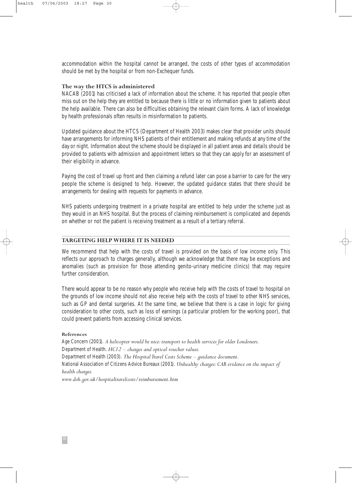accommodation within the hospital cannot be arranged, the costs of other types of accommodation should be met by the hospital or from non-Exchequer funds.

#### **The way the HTCS is administered**

NACAB (2001) has criticised a lack of information about the scheme. It has reported that people often miss out on the help they are entitled to because there is little or no information given to patients about the help available. There can also be difficulties obtaining the relevant claim forms. A lack of knowledge by health professionals often results in misinformation to patients.

Updated guidance about the HTCS (Department of Health 2003) makes clear that provider units should have arrangements for informing NHS patients of their entitlement and making refunds at any time of the day or night. Information about the scheme should be displayed in all patient areas and details should be provided to patients with admission and appointment letters so that they can apply for an assessment of their eligibility in advance.

Paying the cost of travel up front and then claiming a refund later can pose a barrier to care for the very people the scheme is designed to help. However, the updated guidance states that there should be arrangements for dealing with requests for payments in advance.

NHS patients undergoing treatment in a private hospital are entitled to help under the scheme just as they would in an NHS hospital. But the process of claiming reimbursement is complicated and depends on whether or not the patient is receiving treatment as a result of a tertiary referral.

## **TARGETING HELP WHERE IT IS NEEDED**

We recommend that help with the costs of travel is provided on the basis of low income only. This reflects our approach to charges generally, although we acknowledge that there may be exceptions and anomalies (such as provision for those attending genito-urinary medicine clinics) that may require further consideration.

There would appear to be no reason why people who receive help with the costs of travel to hospital on the grounds of low income should not also receive help with the costs of travel to other NHS services, such as GP and dental surgeries. At the same time, we believe that there is a case in logic for giving consideration to other costs, such as loss of earnings (a particular problem for the working poor), that could prevent patients from accessing clinical services.

#### **References**

Age Concern (2001). *A helicopter would be nice: transport to health services for older Londoners.* Department of Health. *HC12 – charges and optical voucher values.* Department of Health (2003). *The Hospital Travel Costs Scheme – guidance document.* National Association of Citizens Advice Bureaux (2001). *Unhealthy charges: CAB evidence on the impact of health charges. www.doh.gov.uk/hospitaltravelcosts/reimbursement.htm*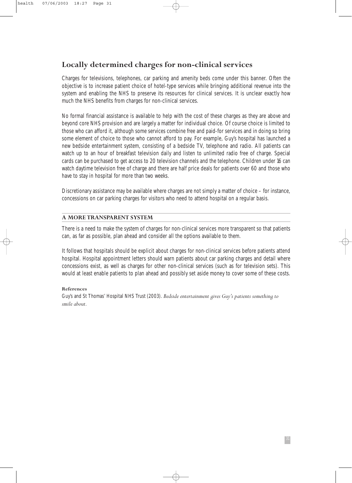# **Locally determined charges for non-clinical services**

Charges for televisions, telephones, car parking and amenity beds come under this banner. Often the objective is to increase patient choice of hotel-type services while bringing additional revenue into the system and enabling the NHS to preserve its resources for clinical services. It is unclear exactly how much the NHS benefits from charges for non-clinical services.

No formal financial assistance is available to help with the cost of these charges as they are above and beyond core NHS provision and are largely a matter for individual choice. Of course choice is limited to those who can afford it, although some services combine free and paid-for services and in doing so bring some element of choice to those who cannot afford to pay. For example, Guy's hospital has launched a new bedside entertainment system, consisting of a bedside TV, telephone and radio. All patients can watch up to an hour of breakfast television daily and listen to unlimited radio free of charge. Special cards can be purchased to get access to 20 television channels and the telephone. Children under 16 can watch daytime television free of charge and there are half price deals for patients over 60 and those who have to stay in hospital for more than two weeks.

Discretionary assistance may be available where charges are not simply a matter of choice – for instance, concessions on car parking charges for visitors who need to attend hospital on a regular basis.

## **A MORE TRANSPARENT SYSTEM**

There is a need to make the system of charges for non-clinical services more transparent so that patients can, as far as possible, plan ahead and consider all the options available to them.

It follows that hospitals should be explicit about charges for non-clinical services before patients attend hospital. Hospital appointment letters should warn patients about car parking charges and detail where concessions exist, as well as charges for other non-clinical services (such as for television sets). This would at least enable patients to plan ahead and possibly set aside money to cover some of these costs.

#### **References**

Guy's and St Thomas' Hospital NHS Trust (2003). *Bedside entertainment gives Guy's patients something to smile about.*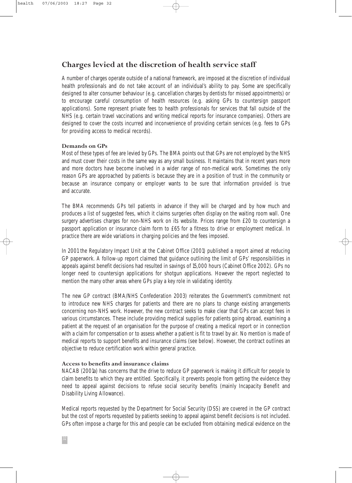# **Charges levied at the discretion of health service staff**

A number of charges operate outside of a national framework, are imposed at the discretion of individual health professionals and do not take account of an individual's ability to pay. Some are specifically designed to alter consumer behaviour (e.g. cancellation charges by dentists for missed appointments) or to encourage careful consumption of health resources (e.g. asking GPs to countersign passport applications). Some represent private fees to health professionals for services that fall outside of the NHS (e.g. certain travel vaccinations and writing medical reports for insurance companies). Others are designed to cover the costs incurred and inconvenience of providing certain services (e.g. fees to GPs for providing access to medical records).

#### **Demands on GPs**

Most of these types of fee are levied by GPs. The BMA points out that GPs are not employed by the NHS and must cover their costs in the same way as any small business. It maintains that in recent years more and more doctors have become involved in a wider range of non-medical work. Sometimes the only reason GPs are approached by patients is because they are in a position of trust in the community or because an insurance company or employer wants to be sure that information provided is true and accurate.

The BMA recommends GPs tell patients in advance if they will be charged and by how much and produces a list of suggested fees, which it claims surgeries often display on the waiting room wall. One surgery advertises charges for non-NHS work on its website. Prices range from £20 to countersign a passport application or insurance claim form to £65 for a fitness to drive or employment medical. In practice there are wide variations in charging policies and the fees imposed.

In 2001 the Regulatory Impact Unit at the Cabinet Office (2001) published a report aimed at reducing GP paperwork. A follow-up report claimed that guidance outlining the limit of GPs' responsibilities in appeals against benefit decisions had resulted in savings of 15,000 hours (Cabinet Office 2002). GPs no longer need to countersign applications for shotgun applications. However the report neglected to mention the many other areas where GPs play a key role in validating identity.

The new GP contract (BMA/NHS Confederation 2003) reiterates the Government's commitment not to introduce new NHS charges for patients and there are no plans to change existing arrangements concerning non-NHS work. However, the new contract seeks to make clear that GPs can accept fees in various circumstances. These include providing medical supplies for patients going abroad, examining a patient at the request of an organisation for the purpose of creating a medical report or in connection with a claim for compensation or to assess whether a patient is fit to travel by air. No mention is made of medical reports to support benefits and insurance claims (see below). However, the contract outlines an objective to reduce certification work within general practice.

#### **Access to benefits and insurance claims**

NACAB (2001a) has concerns that the drive to reduce GP paperwork is making it difficult for people to claim benefits to which they are entitled. Specifically, it prevents people from getting the evidence they need to appeal against decisions to refuse social security benefits (mainly Incapacity Benefit and Disability Living Allowance).

Medical reports requested by the Department for Social Security (DSS) are covered in the GP contract but the cost of reports requested by patients seeking to appeal against benefit decisions is not included. GPs often impose a charge for this and people can be excluded from obtaining medical evidence on the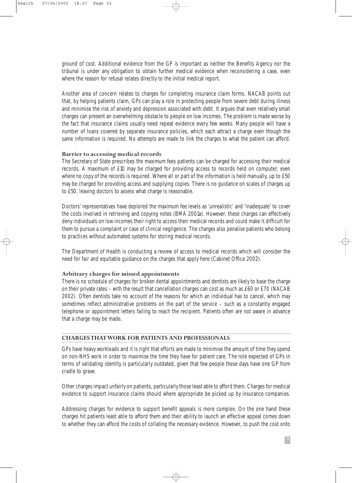ground of cost. Additional evidence from the GP is important as neither the Benefits Agency nor the tribunal is under any obligation to obtain further medical evidence when reconsidering a case, even where the reason for refusal relates directly to the initial medical report.

Another area of concern relates to charges for completing insurance claim forms. NACAB points out that, by helping patients claim, GPs can play a role in protecting people from severe debt during illness and minimise the risk of anxiety and depression associated with debt. It argues that even relatively small charges can present an overwhelming obstacle to people on low incomes. The problem is made worse by the fact that insurance claims usually need repeat evidence every few weeks. Many people will have a number of loans covered by separate insurance policies, which each attract a charge even though the same information is required. No attempts are made to link the charges to what the patient can afford.

#### **Barrier to accessing medical records**

The Secretary of State prescribes the maximum fees patients can be charged for accessing their medical records. A maximum of £10 may be charged for providing access to records held on computer, even where no copy of the records is required. Where all or part of the information is held manually, up to £50 may be charged for providing access and supplying copies. There is no guidance on scales of charges up to £50, leaving doctors to assess what charge is reasonable.

Doctors' representatives have deplored the maximum fee levels as 'unrealistic' and 'inadequate' to cover the costs involved in retrieving and copying notes (BMA 2001a). However, these charges can effectively deny individuals on low incomes their right to access their medical records and could make it difficult for them to pursue a complaint or case of clinical negligence. The charges also penalise patients who belong to practices without automated systems for storing medical records.

The Department of Health is conducting a review of access to medical records which will consider the need for fair and equitable guidance on the charges that apply here (Cabinet Office 2002).

#### **Arbitrary charges for missed appointments**

There is no schedule of charges for broken dental appointments and dentists are likely to base the charge on their private rates – with the result that cancellation charges can cost as much as £60 or £70 (NACAB 2002). Often dentists take no account of the reasons for which an individual has to cancel, which may sometimes reflect administrative problems on the part of the service – such as a constantly engaged telephone or appointment letters failing to reach the recipient. Patients often are not aware in advance that a charge may be made.

#### **CHARGES THAT WORK FOR PATIENTS AND PROFESSIONALS**

GPs have heavy workloads and it is right that efforts are made to minimise the amount of time they spend on non-NHS work in order to maximise the time they have for patient care. The role expected of GPs in terms of validating identity is particularly outdated, given that few people these days have one GP from cradle to grave.

Other charges impact unfairly on patients, particularly those least able to afford them. Charges for medical evidence to support insurance claims should where appropriate be picked up by insurance companies.

Addressing charges for evidence to support benefit appeals is more complex. On the one hand these charges hit patients least able to afford them and their ability to launch an effective appeal comes down to whether they can afford the costs of collating the necessary evidence. However, to push the cost onto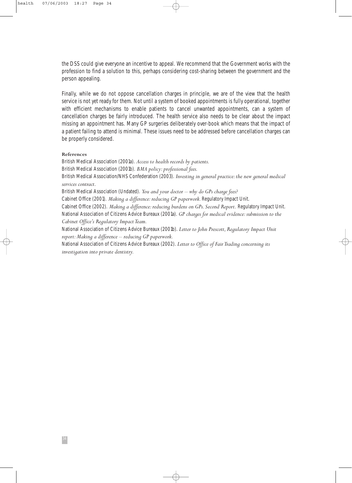the DSS could give everyone an incentive to appeal. We recommend that the Government works with the profession to find a solution to this, perhaps considering cost-sharing between the government and the person appealing.

Finally, while we do not oppose cancellation charges in principle, we are of the view that the health service is not yet ready for them. Not until a system of booked appointments is fully operational, together with efficient mechanisms to enable patients to cancel unwanted appointments, can a system of cancellation charges be fairly introduced. The health service also needs to be clear about the impact missing an appointment has. Many GP surgeries deliberately over-book which means that the impact of a patient failing to attend is minimal. These issues need to be addressed before cancellation charges can be properly considered.

#### **References**

British Medical Association (2001a). *Access to health records by patients.* British Medical Association (2001b). *BMA policy: professional fees.* British Medical Association/NHS Confederation (2003). *Investing in general practice: the new general medical services contract.* British Medical Association (Undated). *You and your doctor – why do GPs charge fees?*

Cabinet Office (2001). *Making a difference: reducing GP paperwork.* Regulatory Impact Unit.

Cabinet Office (2002). *Making a difference: reducing burdens on GPs. Second Report.* Regulatory Impact Unit. National Association of Citizens Advice Bureaux (2001a). *GP charges for medical evidence: submission to the Cabinet Office's Regulatory Impact Team.*

National Association of Citizens Advice Bureaux (2001b). *Letter to John Prescott, Regulatory Impact Unit report: Making a difference – reducing GP paperwork.*

National Association of Citizens Advice Bureaux (2002). *Letter to Office of Fair Trading concerning its investigation into private dentistry.*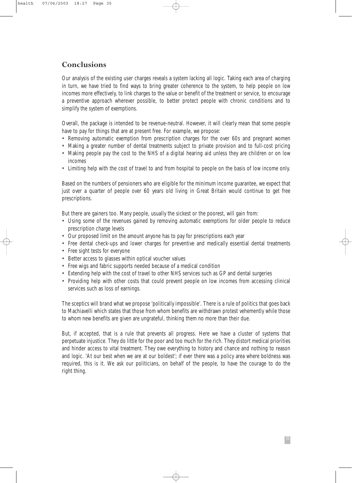## **Conclusions**

Our analysis of the existing user charges reveals a system lacking all logic. Taking each area of charging in turn, we have tried to find ways to bring greater coherence to the system, to help people on low incomes more effectively, to link charges to the value or benefit of the treatment or service, to encourage a preventive approach wherever possible, to better protect people with chronic conditions and to simplify the system of exemptions.

Overall, the package is intended to be revenue-neutral. However, it will clearly mean that some people have to pay for things that are at present free. For example, we propose:

- Removing automatic exemption from prescription charges for the over 60s and pregnant women
- Making a greater number of dental treatments subject to private provision and to full-cost pricing
- Making people pay the cost to the NHS of a digital hearing aid unless they are children or on low incomes
- Limiting help with the cost of travel to and from hospital to people on the basis of low income only.

Based on the numbers of pensioners who are eligible for the minimum income guarantee, we expect that just over a quarter of people over 60 years old living in Great Britain would continue to get free prescriptions.

But there are gainers too. Many people, usually the sickest or the poorest, will gain from:

- Using some of the revenues gained by removing automatic exemptions for older people to reduce prescription charge levels
- Our proposed limit on the amount anyone has to pay for prescriptions each year
- Free dental check-ups and lower charges for preventive and medically essential dental treatments
- Free sight tests for everyone
- Better access to glasses within optical voucher values
- Free wigs and fabric supports needed because of a medical condition
- Extending help with the cost of travel to other NHS services such as GP and dental surgeries
- Providing help with other costs that could prevent people on low incomes from accessing clinical services such as loss of earnings.

The sceptics will brand what we propose 'politically impossible'. There is a rule of politics that goes back to Machiavelli which states that those from whom benefits are withdrawn protest vehemently while those to whom new benefits are given are ungrateful, thinking them no more than their due.

But, if accepted, that is a rule that prevents all progress. Here we have a cluster of systems that perpetuate injustice. They do little for the poor and too much for the rich. They distort medical priorities and hinder access to vital treatment. They owe everything to history and chance and nothing to reason and logic. 'At our best when we are at our boldest'; if ever there was a policy area where boldness was required, this is it. We ask our politicians, on behalf of the people, to have the courage to do the right thing.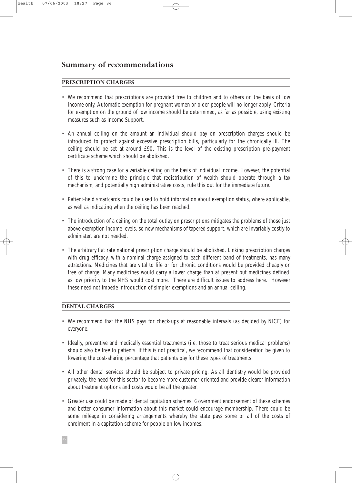## **Summary of recommendations**

## **PRESCRIPTION CHARGES**

- We recommend that prescriptions are provided free to children and to others on the basis of low income only. Automatic exemption for pregnant women or older people will no longer apply. Criteria for exemption on the ground of low income should be determined, as far as possible, using existing measures such as Income Support.
- An annual ceiling on the amount an individual should pay on prescription charges should be introduced to protect against excessive prescription bills, particularly for the chronically ill. The ceiling should be set at around £90. This is the level of the existing prescription pre-payment certificate scheme which should be abolished.
- There is a strong case for a variable ceiling on the basis of individual income. However, the potential of this to undermine the principle that redistribution of wealth should operate through a tax mechanism, and potentially high administrative costs, rule this out for the immediate future.
- Patient-held smartcards could be used to hold information about exemption status, where applicable, as well as indicating when the ceiling has been reached.
- The introduction of a ceiling on the total outlay on prescriptions mitigates the problems of those just above exemption income levels, so new mechanisms of tapered support, which are invariably costly to administer, are not needed.
- The arbitrary flat rate national prescription charge should be abolished. Linking prescription charges with drug efficacy, with a nominal charge assigned to each different band of treatments, has many attractions. Medicines that are vital to life or for chronic conditions would be provided cheaply or free of charge. Many medicines would carry a lower charge than at present but medicines defined as low priority to the NHS would cost more. There are difficult issues to address here. However these need not impede introduction of simpler exemptions and an annual ceiling.

## **DENTAL CHARGES**

- We recommend that the NHS pays for check-ups at reasonable intervals (as decided by NICE) for everyone.
- Ideally, preventive and medically essential treatments (i.e. those to treat serious medical problems) should also be free to patients. If this is not practical, we recommend that consideration be given to lowering the cost-sharing percentage that patients pay for these types of treatments.
- All other dental services should be subject to private pricing. As all dentistry would be provided privately, the need for this sector to become more customer-oriented and provide clearer information about treatment options and costs would be all the greater.
- Greater use could be made of dental capitation schemes. Government endorsement of these schemes and better consumer information about this market could encourage membership. There could be some mileage in considering arrangements whereby the state pays some or all of the costs of enrolment in a capitation scheme for people on low incomes.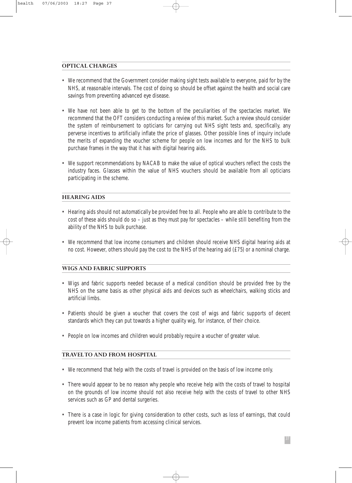#### **OPTICAL CHARGES**

- We recommend that the Government consider making sight tests available to everyone, paid for by the NHS, at reasonable intervals. The cost of doing so should be offset against the health and social care savings from preventing advanced eye disease.
- We have not been able to get to the bottom of the peculiarities of the spectacles market. We recommend that the OFT considers conducting a review of this market. Such a review should consider the system of reimbursement to opticians for carrying out NHS sight tests and, specifically, any perverse incentives to artificially inflate the price of glasses. Other possible lines of inquiry include the merits of expanding the voucher scheme for people on low incomes and for the NHS to bulk purchase frames in the way that it has with digital hearing aids.
- We support recommendations by NACAB to make the value of optical vouchers reflect the costs the industry faces. Glasses within the value of NHS vouchers should be available from all opticians participating in the scheme.

## **HEARING AIDS**

- Hearing aids should not automatically be provided free to all. People who are able to contribute to the cost of these aids should do so – just as they must pay for spectacles – while still benefiting from the ability of the NHS to bulk purchase.
- We recommend that low income consumers and children should receive NHS digital hearing aids at no cost. However, others should pay the cost to the NHS of the hearing aid (£75) or a nominal charge.

#### **WIGS AND FABRIC SUPPORTS**

- Wigs and fabric supports needed because of a medical condition should be provided free by the NHS on the same basis as other physical aids and devices such as wheelchairs, walking sticks and artificial limbs.
- Patients should be given a voucher that covers the cost of wigs and fabric supports of decent standards which they can put towards a higher quality wig, for instance, of their choice.
- People on low incomes and children would probably require a voucher of greater value.

## **TRAVEL TO AND FROM HOSPITAL**

- We recommend that help with the costs of travel is provided on the basis of low income only.
- There would appear to be no reason why people who receive help with the costs of travel to hospital on the grounds of low income should not also receive help with the costs of travel to other NHS services such as GP and dental surgeries.
- There is a case in logic for giving consideration to other costs, such as loss of earnings, that could prevent low income patients from accessing clinical services.